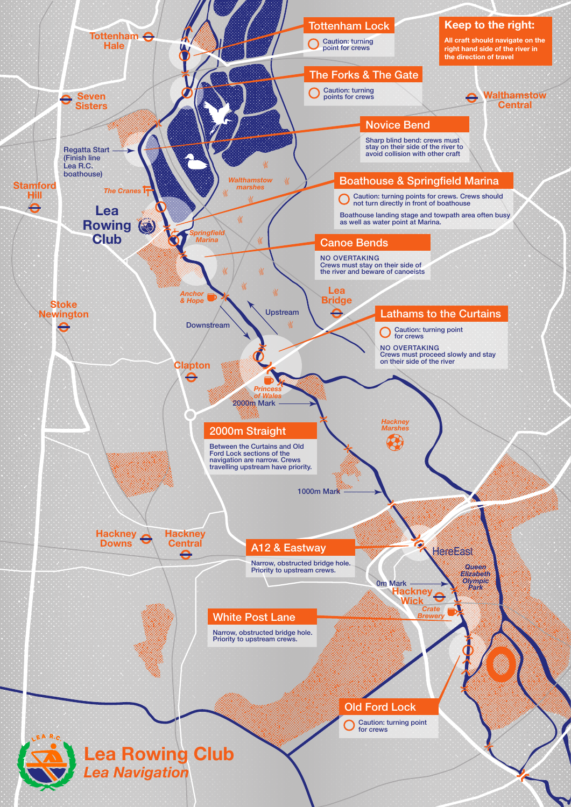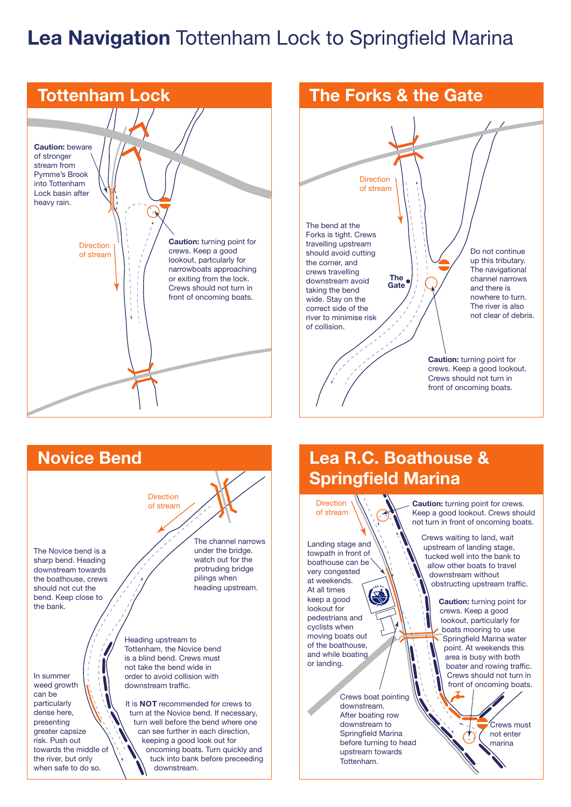## Lea Navigation Tottenham Lock to Springfield Marina





The Novice bend is a sharp bend. Heading downstream towards the boathouse, crews should not cut the bend. Keep close to the bank.

In summer weed growth can be particularly dense here, presenting greater capsize risk. Push out towards the middle of the river, but only when safe to do so.

The channel narrows under the bridge. watch out for the protruding bridge pilings when heading upstream.

Heading upstream to Tottenham, the Novice bend is a blind bend. Crews must not take the bend wide in order to avoid collision with downstream traffic.

**Direction** of stream

It is **NOT** recommended for crews to turn at the Novice bend. If necessary, turn well before the bend where one can see further in each direction, keeping a good look out for oncoming boats. Turn quickly and tuck into bank before preceeding downstream.

## Lea R.C. Boathouse & Springfield Marina



Landing stage and towpath in front of boathouse can be very congested at weekends. At all times keep a good lookout for pedestrians and cyclists when moving boats out of the boathouse, and while boating or landing.

> Crews boat pointing downstream. After boating row downstream to Springfield Marina before turning to head upstream towards Tottenham.

Caution: turning point for crews. Keep a good lookout. Crews should not turn in front of oncoming boats.

Crews waiting to land, wait upstream of landing stage, tucked well into the bank to allow other boats to travel downstream without obstructing upstream traffic.

> Caution: turning point for crews. Keep a good lookout, particularly for boats mooring to use Springfield Marina water point. At weekends this .<br>area is busy with both boater and rowing traffic. Crews should not turn in front of oncoming boats.

> > Crews must not enter marina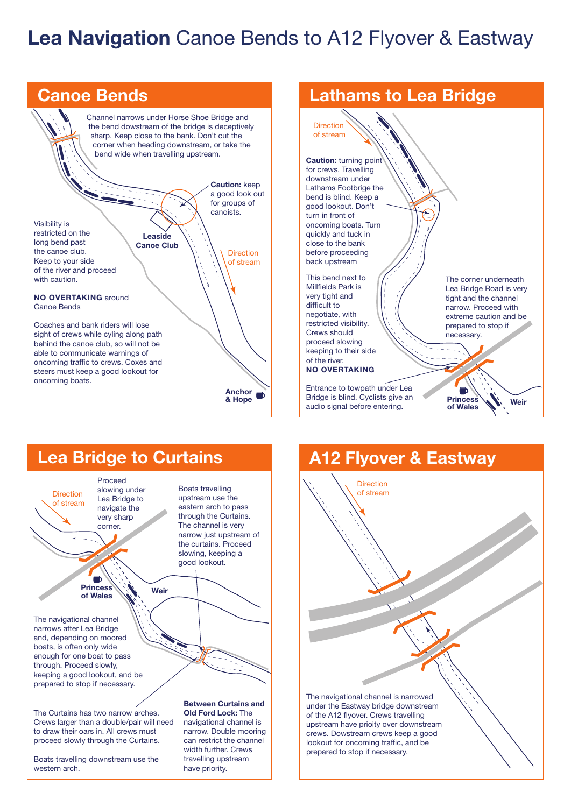## Lea Navigation Canoe Bends to A12 Flyover & Eastway



Lathams to Lea Bridge The corner underneath Lea Bridge Road is very tight and the channel narrow. Proceed with extreme caution and be prepared to stop if necessary. Entrance to towpath under Lea  $\blacksquare$ 

> **Princess** of Wales

Lea Bridge to Curtains